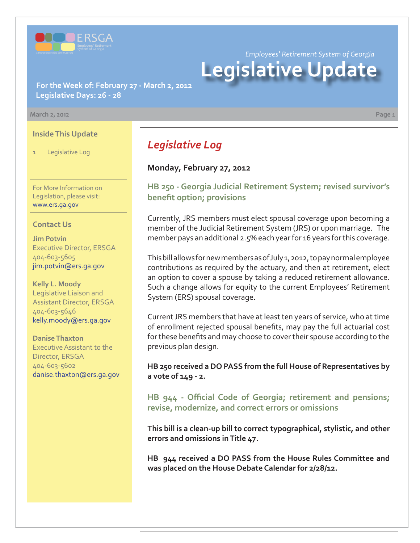

*Employees' Retirement System of Georgia*

# **Legislative Update**

**For the Week of: February 27 - March 2, 2012 Legislative Days: 26 - 28**

#### **March 2, 2012 Page 1**

#### **Inside This Update**

1 Legislative Log

For More Information on Legislation, please visit: www.ers.ga.gov

#### **Contact Us**

**Jim Potvin** Executive Director, ERSGA 404-603-5605 jim.potvin@ers.ga.gov

**Kelly L. Moody** Legislative Liaison and Assistant Director, ERSGA 404-603-5646 kelly.moody@ers.ga.gov

**Danise Thaxton** Executive Assistant to the Director, ERSGA 404-603-5602 danise.thaxton@ers.ga.gov *Legislative Log*

### **Monday, February 27, 2012**

**[HB 250 - Georgia Judicial Retirement System; revised survivor's](http://www.legis.ga.gov/legislation/en-US/Display/20112012/HB/250) benefit option; provisions** 

Currently, JRS members must elect spousal coverage upon becoming a member of the Judicial Retirement System (JRS) or upon marriage. The member pays an additional 2.5% each year for 16 years for this coverage.

This bill allows for new members as of July 1, 2012, to pay normal employee contributions as required by the actuary, and then at retirement, elect an option to cover a spouse by taking a reduced retirement allowance. Such a change allows for equity to the current Employees' Retirement System (ERS) spousal coverage.

Current JRS members that have at least ten years of service, who at time of enrollment rejected spousal benefits, may pay the full actuarial cost for these benefits and may choose to cover their spouse according to the previous plan design.

**HB 250 received a DO PASS from the full House of Representatives by a vote of 149 - 2.**

**HB 944 - Offi [cial Code of Georgia; retirement and pensions;](http://www.legis.ga.gov/legislation/en-US/Display/20112012/HB/944) revise, modernize, and correct errors or omissions**

**This bill is a clean-up bill to correct typographical, stylistic, and other errors and omissions in Title 47.**

**HB 944 received a DO PASS from the House Rules Committee and was placed on the House Debate Calendar for 2/28/12.**